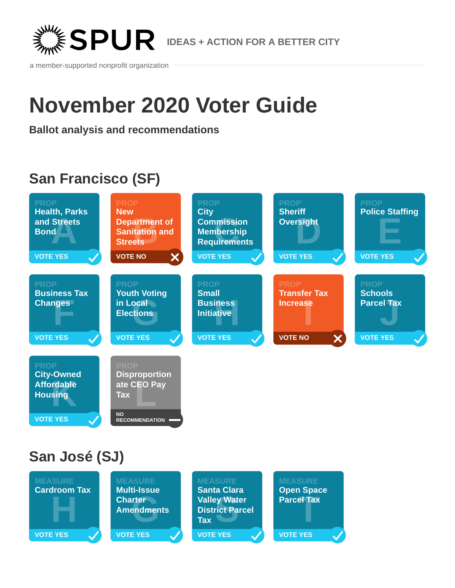

a member-supported nonprofit organization

# **November 2020 Voter Guide**

**Ballot analysis and recommendations**

# **San Francisco (SF)**



# **San José (SJ)**

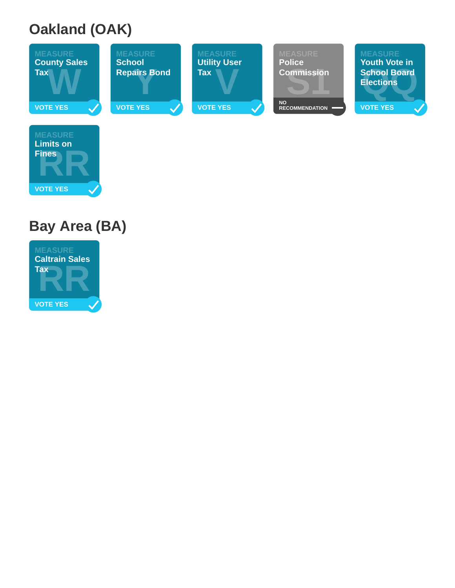# **Oakland (OAK)**



# **Bay Area (BA)**

Fines **R** 

**Fines**

**VOTE YES**

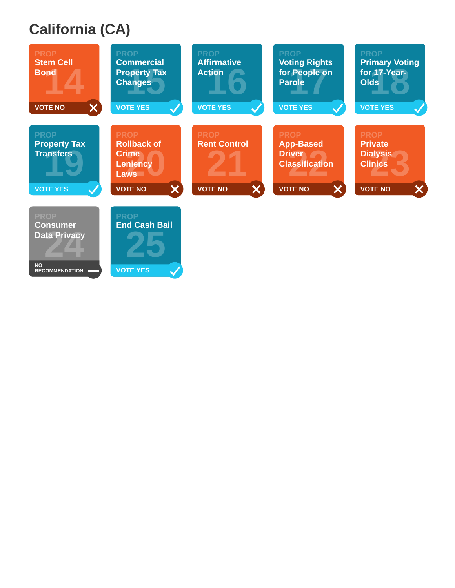# **California (CA)**

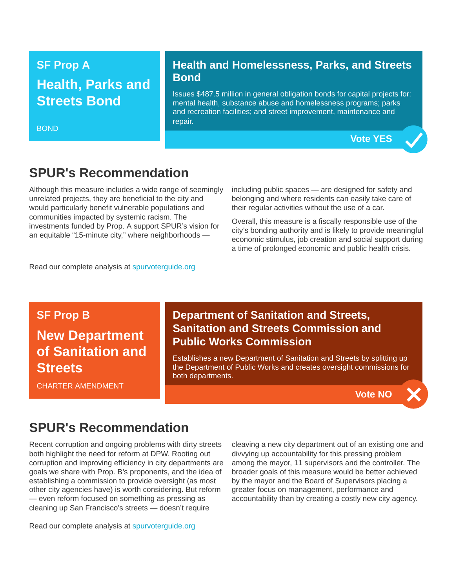#### **SF Prop A**

## **Health, Parks and Streets Bond**

#### BOND

#### **Health and Homelessness, Parks, and Streets Bond**

Issues \$487.5 million in general obligation bonds for capital projects for: mental health, substance abuse and homelessness programs; parks and recreation facilities; and street improvement, maintenance and repair.

**Vote YES**

#### **SPUR's Recommendation**

Although this measure includes a wide range of seemingly unrelated projects, they are beneficial to the city and would particularly benefit vulnerable populations and communities impacted by systemic racism. The investments funded by Prop. A support SPUR's vision for an equitable "15-minute city," where neighborhoods —

including public spaces — are designed for safety and belonging and where residents can easily take care of their regular activities without the use of a car.

Overall, this measure is a fiscally responsible use of the city's bonding authority and is likely to provide meaningful economic stimulus, job creation and social support during a time of prolonged economic and public health crisis.

Read our complete analysis at [spurvoterguide.org](https://spurvoterguide.org/)

#### **SF Prop B**

# **New Department of Sanitation and Streets**

#### **Department of Sanitation and Streets, Sanitation and Streets Commission and Public Works Commission**

Establishes a new Department of Sanitation and Streets by splitting up the Department of Public Works and creates oversight commissions for both departments.

CHARTER AMENDMENT

#### **Vote NO**

#### **SPUR's Recommendation**

Recent corruption and ongoing problems with dirty streets both highlight the need for reform at DPW. Rooting out corruption and improving efficiency in city departments are goals we share with Prop. B's proponents, and the idea of establishing a commission to provide oversight (as most other city agencies have) is worth considering. But reform — even reform focused on something as pressing as cleaning up San Francisco's streets — doesn't require

Read our complete analysis at [spurvoterguide.org](https://spurvoterguide.org/)

cleaving a new city department out of an existing one and divvying up accountability for this pressing problem among the mayor, 11 supervisors and the controller. The broader goals of this measure would be better achieved by the mayor and the Board of Supervisors placing a greater focus on management, performance and accountability than by creating a costly new city agency.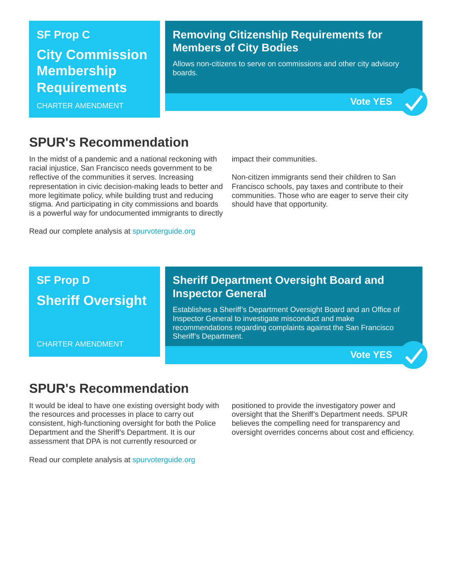#### **SF Prop C**

## **City Commission Membership Requirements**

CHARTER AMENDMENT

#### **Removing Citizenship Requirements for Members of City Bodies**

Allows non-citizens to serve on commissions and other city advisory boards.



### **SPUR's Recommendation**

In the midst of a pandemic and a national reckoning with racial injustice, San Francisco needs government to be reflective of the communities it serves. Increasing representation in civic decision-making leads to better and more legitimate policy, while building trust and reducing stigma. And participating in city commissions and boards is a powerful way for undocumented immigrants to directly

Read our complete analysis at [spurvoterguide.org](https://spurvoterguide.org/)

impact their communities.

Non-citizen immigrants send their children to San Francisco schools, pay taxes and contribute to their communities. Those who are eager to serve their city should have that opportunity.

## **SF Prop D Sheriff Oversight**

CHARTER AMENDMENT

#### **Sheriff Department Oversight Board and Inspector General**

Establishes a Sheriff's Department Oversight Board and an Office of Inspector General to investigate misconduct and make recommendations regarding complaints against the San Francisco Sheriff's Department.

**Vote YES**

### **SPUR's Recommendation**

It would be ideal to have one existing oversight body with the resources and processes in place to carry out consistent, high-functioning oversight for both the Police Department and the Sheriff's Department. It is our assessment that DPA is not currently resourced or

positioned to provide the investigatory power and oversight that the Sheriff's Department needs. SPUR believes the compelling need for transparency and oversight overrides concerns about cost and efficiency.

Read our complete analysis at [spurvoterguide.org](https://spurvoterguide.org/)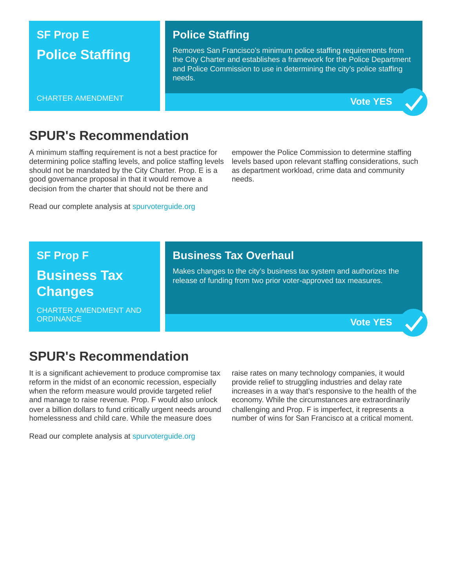## **SF Prop E Police Staffing**

#### **Police Staffing**

Removes San Francisco's minimum police staffing requirements from the City Charter and establishes a framework for the Police Department and Police Commission to use in determining the city's police staffing needs.

#### CHARTER AMENDMENT



#### **SPUR's Recommendation**

A minimum staffing requirement is not a best practice for determining police staffing levels, and police staffing levels should not be mandated by the City Charter. Prop. E is a good governance proposal in that it would remove a decision from the charter that should not be there and

Read our complete analysis at [spurvoterguide.org](https://spurvoterguide.org/)

empower the Police Commission to determine staffing levels based upon relevant staffing considerations, such as department workload, crime data and community needs.

#### **SF Prop F**

### **Business Tax Changes**

CHARTER AMENDMENT AND ORDINANCE

#### **Business Tax Overhaul**

Makes changes to the city's business tax system and authorizes the release of funding from two prior voter-approved tax measures.

**Vote YES**

#### **SPUR's Recommendation**

It is a significant achievement to produce compromise tax reform in the midst of an economic recession, especially when the reform measure would provide targeted relief and manage to raise revenue. Prop. F would also unlock over a billion dollars to fund critically urgent needs around homelessness and child care. While the measure does

Read our complete analysis at [spurvoterguide.org](https://spurvoterguide.org/)

raise rates on many technology companies, it would provide relief to struggling industries and delay rate increases in a way that's responsive to the health of the economy. While the circumstances are extraordinarily challenging and Prop. F is imperfect, it represents a number of wins for San Francisco at a critical moment.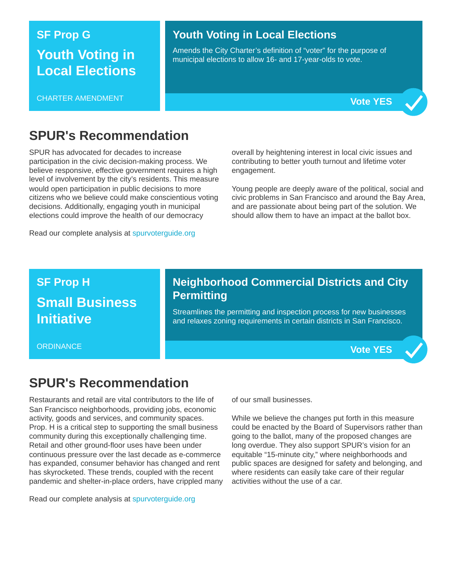#### **SF Prop G**

### **Youth Voting in Local Elections**

CHARTER AMENDMENT

#### **Youth Voting in Local Elections**

Amends the City Charter's definition of "voter" for the purpose of municipal elections to allow 16- and 17-year-olds to vote.



### **SPUR's Recommendation**

SPUR has advocated for decades to increase participation in the civic decision-making process. We believe responsive, effective government requires a high level of involvement by the city's residents. This measure would open participation in public decisions to more citizens who we believe could make conscientious voting decisions. Additionally, engaging youth in municipal elections could improve the health of our democracy

Read our complete analysis at [spurvoterguide.org](https://spurvoterguide.org/)

overall by heightening interest in local civic issues and contributing to better youth turnout and lifetime voter engagement.

Young people are deeply aware of the political, social and civic problems in San Francisco and around the Bay Area, and are passionate about being part of the solution. We should allow them to have an impact at the ballot box.

## **SF Prop H Small Business Initiative**

**ORDINANCE** 

#### **Neighborhood Commercial Districts and City Permitting**

Streamlines the permitting and inspection process for new businesses and relaxes zoning requirements in certain districts in San Francisco.

**Vote YES**

### **SPUR's Recommendation**

Restaurants and retail are vital contributors to the life of San Francisco neighborhoods, providing jobs, economic activity, goods and services, and community spaces. Prop. H is a critical step to supporting the small business community during this exceptionally challenging time. Retail and other ground-floor uses have been under continuous pressure over the last decade as e-commerce has expanded, consumer behavior has changed and rent has skyrocketed. These trends, coupled with the recent pandemic and shelter-in-place orders, have crippled many

Read our complete analysis at [spurvoterguide.org](https://spurvoterguide.org/)

of our small businesses.

While we believe the changes put forth in this measure could be enacted by the Board of Supervisors rather than going to the ballot, many of the proposed changes are long overdue. They also support SPUR's vision for an equitable "15-minute city," where neighborhoods and public spaces are designed for safety and belonging, and where residents can easily take care of their regular activities without the use of a car.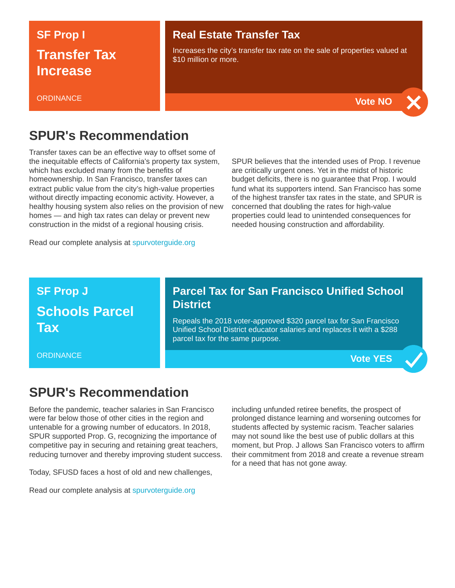## **SF Prop I Transfer Tax Increase**

#### **ORDINANCE**

#### **Real Estate Transfer Tax**

Increases the city's transfer tax rate on the sale of properties valued at \$10 million or more



#### **SPUR's Recommendation**

Transfer taxes can be an effective way to offset some of the inequitable effects of California's property tax system, which has excluded many from the benefits of homeownership. In San Francisco, transfer taxes can extract public value from the city's high-value properties without directly impacting economic activity. However, a healthy housing system also relies on the provision of new homes — and high tax rates can delay or prevent new construction in the midst of a regional housing crisis.

Read our complete analysis at [spurvoterguide.org](https://spurvoterguide.org/)

SPUR believes that the intended uses of Prop. I revenue are critically urgent ones. Yet in the midst of historic budget deficits, there is no guarantee that Prop. I would fund what its supporters intend. San Francisco has some of the highest transfer tax rates in the state, and SPUR is concerned that doubling the rates for high-value properties could lead to unintended consequences for needed housing construction and affordability.

### **SF Prop J Schools Parcel Tax**

**ORDINANCE** 

#### **Parcel Tax for San Francisco Unified School District**

Repeals the 2018 voter-approved \$320 parcel tax for San Francisco Unified School District educator salaries and replaces it with a \$288 parcel tax for the same purpose.

**Vote YES**

### **SPUR's Recommendation**

Before the pandemic, teacher salaries in San Francisco were far below those of other cities in the region and untenable for a growing number of educators. In 2018, SPUR supported Prop. G, recognizing the importance of competitive pay in securing and retaining great teachers, reducing turnover and thereby improving student success.

Today, SFUSD faces a host of old and new challenges,

Read our complete analysis at [spurvoterguide.org](https://spurvoterguide.org/)

including unfunded retiree benefits, the prospect of prolonged distance learning and worsening outcomes for students affected by systemic racism. Teacher salaries may not sound like the best use of public dollars at this moment, but Prop. J allows San Francisco voters to affirm their commitment from 2018 and create a revenue stream for a need that has not gone away.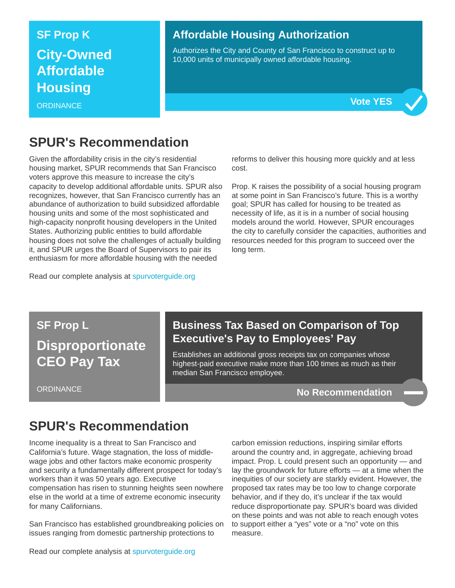#### **SF Prop K**

**City-Owned Affordable Housing**

**ORDINANCE** 

#### **Affordable Housing Authorization**

Authorizes the City and County of San Francisco to construct up to 10,000 units of municipally owned affordable housing.



### **SPUR's Recommendation**

Given the affordability crisis in the city's residential housing market, SPUR recommends that San Francisco voters approve this measure to increase the city's capacity to develop additional affordable units. SPUR also recognizes, however, that San Francisco currently has an abundance of authorization to build subsidized affordable housing units and some of the most sophisticated and high-capacity nonprofit housing developers in the United States. Authorizing public entities to build affordable housing does not solve the challenges of actually building it, and SPUR urges the Board of Supervisors to pair its enthusiasm for more affordable housing with the needed

reforms to deliver this housing more quickly and at less cost.

Prop. K raises the possibility of a social housing program at some point in San Francisco's future. This is a worthy goal; SPUR has called for housing to be treated as necessity of life, as it is in a number of social housing models around the world. However, SPUR encourages the city to carefully consider the capacities, authorities and resources needed for this program to succeed over the long term.

#### Read our complete analysis at [spurvoterguide.org](https://spurvoterguide.org/)

**SF Prop L Disproportionate CEO Pay Tax**

**ORDINANCE** 

#### **Business Tax Based on Comparison of Top Executive's Pay to Employees' Pay**

Establishes an additional gross receipts tax on companies whose highest-paid executive make more than 100 times as much as their median San Francisco employee.

**No Recommendation**

# **SPUR's Recommendation**

Income inequality is a threat to San Francisco and California's future. Wage stagnation, the loss of middlewage jobs and other factors make economic prosperity and security a fundamentally different prospect for today's workers than it was 50 years ago. Executive compensation has risen to stunning heights seen nowhere else in the world at a time of extreme economic insecurity for many Californians.

San Francisco has established groundbreaking policies on issues ranging from domestic partnership protections to

carbon emission reductions, inspiring similar efforts around the country and, in aggregate, achieving broad impact. Prop. L could present such an opportunity — and lay the groundwork for future efforts — at a time when the inequities of our society are starkly evident. However, the proposed tax rates may be too low to change corporate behavior, and if they do, it's unclear if the tax would reduce disproportionate pay. SPUR's board was divided on these points and was not able to reach enough votes to support either a "yes" vote or a "no" vote on this measure.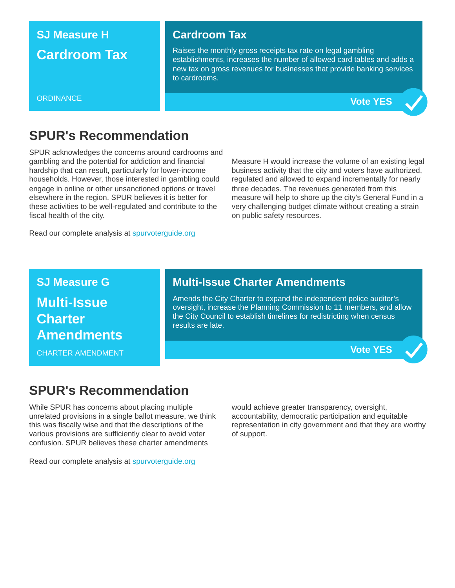### **SJ Measure H Cardroom Tax**

#### **Cardroom Tax**

Raises the monthly gross receipts tax rate on legal gambling establishments, increases the number of allowed card tables and adds a new tax on gross revenues for businesses that provide banking services to cardrooms.





### **SPUR's Recommendation**

SPUR acknowledges the concerns around cardrooms and gambling and the potential for addiction and financial hardship that can result, particularly for lower-income households. However, those interested in gambling could engage in online or other unsanctioned options or travel elsewhere in the region. SPUR believes it is better for these activities to be well-regulated and contribute to the fiscal health of the city.

Read our complete analysis at [spurvoterguide.org](https://spurvoterguide.org/)

Measure H would increase the volume of an existing legal business activity that the city and voters have authorized, regulated and allowed to expand incrementally for nearly three decades. The revenues generated from this measure will help to shore up the city's General Fund in a very challenging budget climate without creating a strain on public safety resources.

**SJ Measure G Multi-Issue Charter Amendments**

CHARTER AMENDMENT

#### **Multi-Issue Charter Amendments**

Amends the City Charter to expand the independent police auditor's oversight, increase the Planning Commission to 11 members, and allow the City Council to establish timelines for redistricting when census results are late.

**Vote YES**

### **SPUR's Recommendation**

While SPUR has concerns about placing multiple unrelated provisions in a single ballot measure, we think this was fiscally wise and that the descriptions of the various provisions are sufficiently clear to avoid voter confusion. SPUR believes these charter amendments

Read our complete analysis at [spurvoterguide.org](https://spurvoterguide.org/)

would achieve greater transparency, oversight, accountability, democratic participation and equitable representation in city government and that they are worthy of support.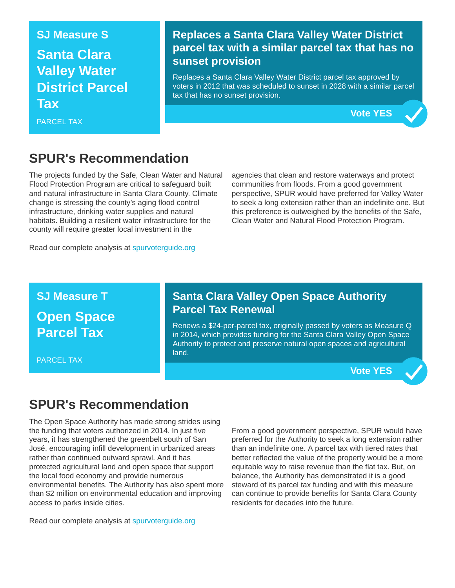# **SJ Measure S Santa Clara Valley Water District Parcel Tax**

PARCEL TAX

#### **Replaces a Santa Clara Valley Water District parcel tax with a similar parcel tax that has no sunset provision**

Replaces a Santa Clara Valley Water District parcel tax approved by voters in 2012 that was scheduled to sunset in 2028 with a similar parcel tax that has no sunset provision.

### **SPUR's Recommendation**

The projects funded by the Safe, Clean Water and Natural Flood Protection Program are critical to safeguard built and natural infrastructure in Santa Clara County. Climate change is stressing the county's aging flood control infrastructure, drinking water supplies and natural habitats. Building a resilient water infrastructure for the county will require greater local investment in the

agencies that clean and restore waterways and protect communities from floods. From a good government perspective, SPUR would have preferred for Valley Water to seek a long extension rather than an indefinite one. But this preference is outweighed by the benefits of the Safe, Clean Water and Natural Flood Protection Program.

Read our complete analysis at [spurvoterguide.org](https://spurvoterguide.org/)

### **SJ Measure T Open Space Parcel Tax**

PARCEL TAX

#### **Santa Clara Valley Open Space Authority Parcel Tax Renewal**

Renews a \$24-per-parcel tax, originally passed by voters as Measure Q in 2014, which provides funding for the Santa Clara Valley Open Space Authority to protect and preserve natural open spaces and agricultural land.

**Vote YES**

**Vote YES**

## **SPUR's Recommendation**

The Open Space Authority has made strong strides using the funding that voters authorized in 2014. In just five years, it has strengthened the greenbelt south of San José, encouraging infill development in urbanized areas rather than continued outward sprawl. And it has protected agricultural land and open space that support the local food economy and provide numerous environmental benefits. The Authority has also spent more than \$2 million on environmental education and improving access to parks inside cities.

Read our complete analysis at [spurvoterguide.org](https://spurvoterguide.org/)

From a good government perspective, SPUR would have preferred for the Authority to seek a long extension rather than an indefinite one. A parcel tax with tiered rates that better reflected the value of the property would be a more equitable way to raise revenue than the flat tax. But, on balance, the Authority has demonstrated it is a good steward of its parcel tax funding and with this measure can continue to provide benefits for Santa Clara County residents for decades into the future.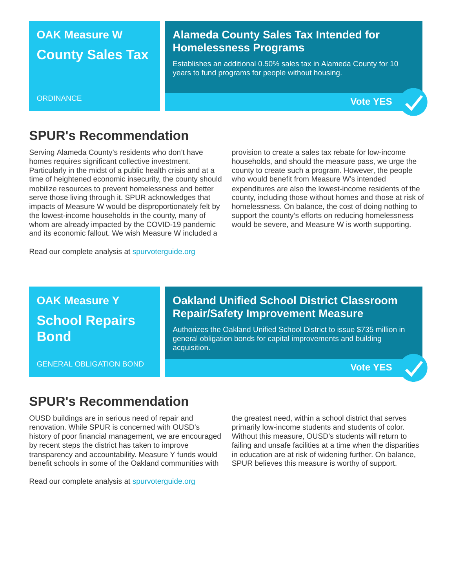### **OAK Measure W County Sales Tax**

#### **Alameda County Sales Tax Intended for Homelessness Programs**

Establishes an additional 0.50% sales tax in Alameda County for 10 years to fund programs for people without housing.

#### **ORDINANCE**



### **SPUR's Recommendation**

Serving Alameda County's residents who don't have homes requires significant collective investment. Particularly in the midst of a public health crisis and at a time of heightened economic insecurity, the county should mobilize resources to prevent homelessness and better serve those living through it. SPUR acknowledges that impacts of Measure W would be disproportionately felt by the lowest-income households in the county, many of whom are already impacted by the COVID-19 pandemic and its economic fallout. We wish Measure W included a

provision to create a sales tax rebate for low-income households, and should the measure pass, we urge the county to create such a program. However, the people who would benefit from Measure W's intended expenditures are also the lowest-income residents of the county, including those without homes and those at risk of homelessness. On balance, the cost of doing nothing to support the county's efforts on reducing homelessness would be severe, and Measure W is worth supporting.

Read our complete analysis at [spurvoterguide.org](https://spurvoterguide.org/)

### **OAK Measure Y School Repairs Bond**

GENERAL OBLIGATION BOND

#### **Oakland Unified School District Classroom Repair/Safety Improvement Measure**

Authorizes the Oakland Unified School District to issue \$735 million in general obligation bonds for capital improvements and building acquisition.

**Vote YES**

### **SPUR's Recommendation**

OUSD buildings are in serious need of repair and renovation. While SPUR is concerned with OUSD's history of poor financial management, we are encouraged by recent steps the district has taken to improve transparency and accountability. Measure Y funds would benefit schools in some of the Oakland communities with

Read our complete analysis at [spurvoterguide.org](https://spurvoterguide.org/)

the greatest need, within a school district that serves primarily low-income students and students of color. Without this measure, OUSD's students will return to failing and unsafe facilities at a time when the disparities in education are at risk of widening further. On balance, SPUR believes this measure is worthy of support.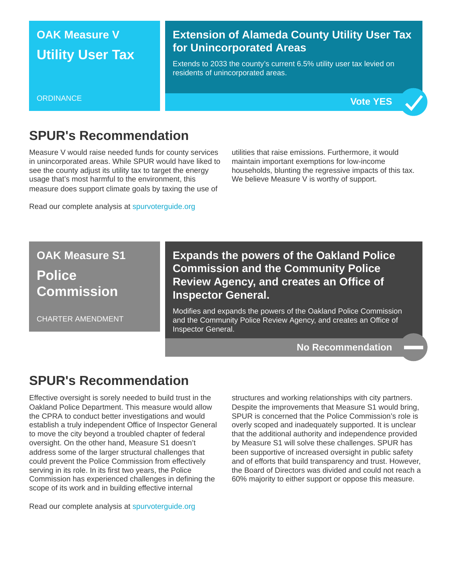### **OAK Measure V Utility User Tax**

#### **Extension of Alameda County Utility User Tax for Unincorporated Areas**

Extends to 2033 the county's current 6.5% utility user tax levied on residents of unincorporated areas.





### **SPUR's Recommendation**

Measure V would raise needed funds for county services in unincorporated areas. While SPUR would have liked to see the county adjust its utility tax to target the energy usage that's most harmful to the environment, this measure does support climate goals by taxing the use of

Read our complete analysis at [spurvoterguide.org](https://spurvoterguide.org/)

utilities that raise emissions. Furthermore, it would maintain important exemptions for low-income households, blunting the regressive impacts of this tax. We believe Measure V is worthy of support.

**OAK Measure S1 Police Commission**

CHARTER AMENDMENT

**Expands the powers of the Oakland Police Commission and the Community Police Review Agency, and creates an Office of Inspector General.**

Modifies and expands the powers of the Oakland Police Commission and the Community Police Review Agency, and creates an Office of Inspector General.

**No Recommendation**

#### **SPUR's Recommendation**

Effective oversight is sorely needed to build trust in the Oakland Police Department. This measure would allow the CPRA to conduct better investigations and would establish a truly independent Office of Inspector General to move the city beyond a troubled chapter of federal oversight. On the other hand, Measure S1 doesn't address some of the larger structural challenges that could prevent the Police Commission from effectively serving in its role. In its first two years, the Police Commission has experienced challenges in defining the scope of its work and in building effective internal

Read our complete analysis at [spurvoterguide.org](https://spurvoterguide.org/)

structures and working relationships with city partners. Despite the improvements that Measure S1 would bring, SPUR is concerned that the Police Commission's role is overly scoped and inadequately supported. It is unclear that the additional authority and independence provided by Measure S1 will solve these challenges. SPUR has been supportive of increased oversight in public safety and of efforts that build transparency and trust. However, the Board of Directors was divided and could not reach a 60% majority to either support or oppose this measure.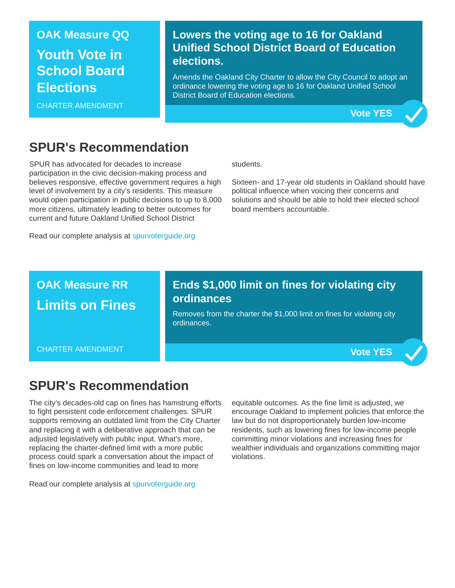### **OAK Measure QQ Youth Vote in School Board Elections**

CHARTER AMENDMENT

#### **Lowers the voting age to 16 for Oakland Unified School District Board of Education elections.**

Amends the Oakland City Charter to allow the City Council to adopt an ordinance lowering the voting age to 16 for Oakland Unified School District Board of Education elections.



### **SPUR's Recommendation**

SPUR has advocated for decades to increase participation in the civic decision-making process and believes responsive, effective government requires a high level of involvement by a city's residents. This measure would open participation in public decisions to up to 8,000 more citizens, ultimately leading to better outcomes for current and future Oakland Unified School District

Read our complete analysis at [spurvoterguide.org](https://spurvoterguide.org/)

students.

Sixteen- and 17-year old students in Oakland should have political influence when voicing their concerns and solutions and should be able to hold their elected school board members accountable.

### **OAK Measure RR Limits on Fines**

CHARTER AMENDMENT

#### **Ends \$1,000 limit on fines for violating city ordinances**

Removes from the charter the \$1,000 limit on fines for violating city ordinances.

**Vote YES**

### **SPUR's Recommendation**

The city's decades-old cap on fines has hamstrung efforts to fight persistent code enforcement challenges. SPUR supports removing an outdated limit from the City Charter and replacing it with a deliberative approach that can be adjusted legislatively with public input. What's more, replacing the charter-defined limit with a more public process could spark a conversation about the impact of fines on low-income communities and lead to more

Read our complete analysis at [spurvoterguide.org](https://spurvoterguide.org/)

equitable outcomes. As the fine limit is adjusted, we encourage Oakland to implement policies that enforce the law but do not disproportionately burden low-income residents, such as lowering fines for low-income people committing minor violations and increasing fines for wealthier individuals and organizations committing major violations.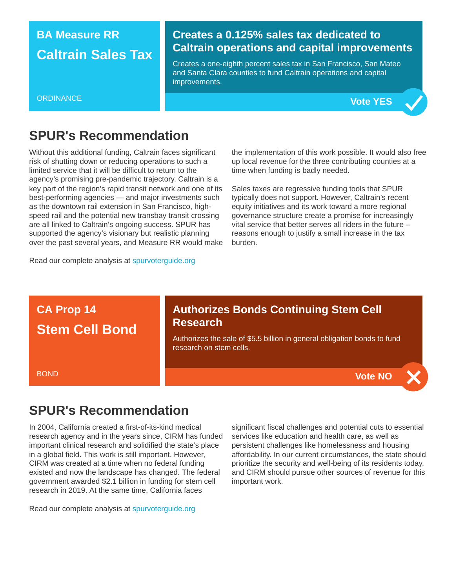### **BA Measure RR Caltrain Sales Tax**

#### **Creates a 0.125% sales tax dedicated to Caltrain operations and capital improvements**

Creates a one-eighth percent sales tax in San Francisco, San Mateo and Santa Clara counties to fund Caltrain operations and capital improvements.





### **SPUR's Recommendation**

Without this additional funding, Caltrain faces significant risk of shutting down or reducing operations to such a limited service that it will be difficult to return to the agency's promising pre-pandemic trajectory. Caltrain is a key part of the region's rapid transit network and one of its best-performing agencies — and major investments such as the downtown rail extension in San Francisco, highspeed rail and the potential new transbay transit crossing are all linked to Caltrain's ongoing success. SPUR has supported the agency's visionary but realistic planning over the past several years, and Measure RR would make

the implementation of this work possible. It would also free up local revenue for the three contributing counties at a time when funding is badly needed.

Sales taxes are regressive funding tools that SPUR typically does not support. However, Caltrain's recent equity initiatives and its work toward a more regional governance structure create a promise for increasingly vital service that better serves all riders in the future – reasons enough to justify a small increase in the tax burden.

Read our complete analysis at [spurvoterguide.org](https://spurvoterguide.org/)

### **CA Prop 14 Stem Cell Bond**

#### **Authorizes Bonds Continuing Stem Cell Research**

Authorizes the sale of \$5.5 billion in general obligation bonds to fund research on stem cells.

**Vote NO**

#### BOND

### **SPUR's Recommendation**

In 2004, California created a first-of-its-kind medical research agency and in the years since, CIRM has funded important clinical research and solidified the state's place in a global field. This work is still important. However, CIRM was created at a time when no federal funding existed and now the landscape has changed. The federal government awarded \$2.1 billion in funding for stem cell research in 2019. At the same time, California faces

Read our complete analysis at [spurvoterguide.org](https://spurvoterguide.org/)

significant fiscal challenges and potential cuts to essential services like education and health care, as well as persistent challenges like homelessness and housing affordability. In our current circumstances, the state should prioritize the security and well-being of its residents today, and CIRM should pursue other sources of revenue for this important work.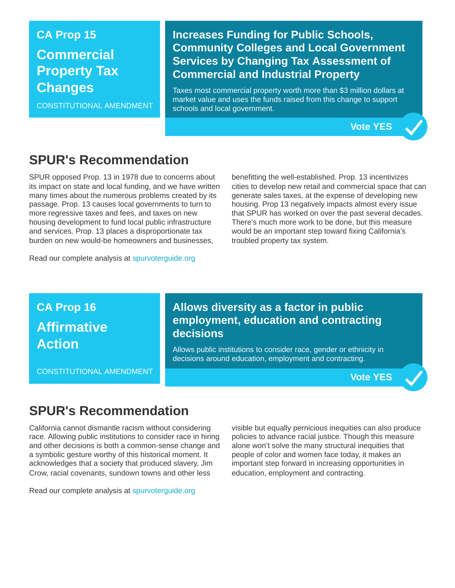## **CA Prop 15 Commercial Property Tax Changes**

CONSTITUTIONAL AMENDMENT

#### **Increases Funding for Public Schools, Community Colleges and Local Government Services by Changing Tax Assessment of Commercial and Industrial Property**

Taxes most commercial property worth more than \$3 million dollars at market value and uses the funds raised from this change to support schools and local government.



### **SPUR's Recommendation**

SPUR opposed Prop. 13 in 1978 due to concerns about its impact on state and local funding, and we have written many times about the numerous problems created by its passage. Prop. 13 causes local governments to turn to more regressive taxes and fees, and taxes on new housing development to fund local public infrastructure and services. Prop. 13 places a disproportionate tax burden on new would-be homeowners and businesses,

Read our complete analysis at [spurvoterguide.org](https://spurvoterguide.org/)

benefitting the well-established. Prop. 13 incentivizes cities to develop new retail and commercial space that can generate sales taxes, at the expense of developing new housing. Prop 13 negatively impacts almost every issue that SPUR has worked on over the past several decades. There's much more work to be done, but this measure would be an important step toward fixing California's troubled property tax system.

# **CA Prop 16 Affirmative Action**

CONSTITUTIONAL AMENDMENT

#### **Allows diversity as a factor in public employment, education and contracting decisions**

Allows public institutions to consider race, gender or ethnicity in decisions around education, employment and contracting.

**Vote YES**

### **SPUR's Recommendation**

California cannot dismantle racism without considering race. Allowing public institutions to consider race in hiring and other decisions is both a common-sense change and a symbolic gesture worthy of this historical moment. It acknowledges that a society that produced slavery, Jim Crow, racial covenants, sundown towns and other less

Read our complete analysis at [spurvoterguide.org](https://spurvoterguide.org/)

visible but equally pernicious inequities can also produce policies to advance racial justice. Though this measure alone won't solve the many structural inequities that people of color and women face today, it makes an important step forward in increasing opportunities in education, employment and contracting.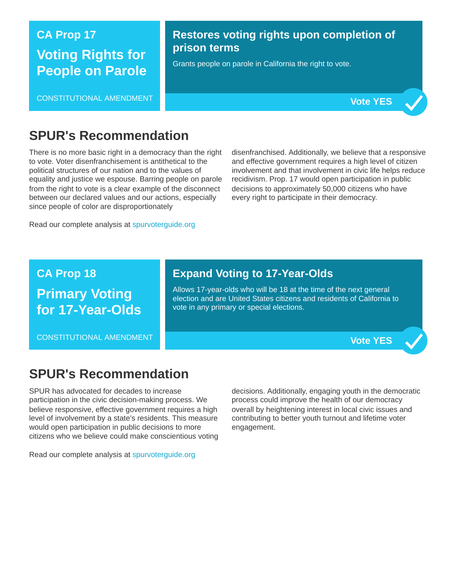# **CA Prop 17 Voting Rights for People on Parole**

CONSTITUTIONAL AMENDMENT

#### **Restores voting rights upon completion of prison terms**

Grants people on parole in California the right to vote.



### **SPUR's Recommendation**

There is no more basic right in a democracy than the right to vote. Voter disenfranchisement is antithetical to the political structures of our nation and to the values of equality and justice we espouse. Barring people on parole from the right to vote is a clear example of the disconnect between our declared values and our actions, especially since people of color are disproportionately

disenfranchised. Additionally, we believe that a responsive and effective government requires a high level of citizen involvement and that involvement in civic life helps reduce recidivism. Prop. 17 would open participation in public decisions to approximately 50,000 citizens who have every right to participate in their democracy.

Read our complete analysis at [spurvoterguide.org](https://spurvoterguide.org/)

#### **CA Prop 18**

**Primary Voting for 17-Year-Olds**

CONSTITUTIONAL AMENDMENT

#### **Expand Voting to 17-Year-Olds**

Allows 17-year-olds who will be 18 at the time of the next general election and are United States citizens and residents of California to vote in any primary or special elections.

**Vote YES**

### **SPUR's Recommendation**

SPUR has advocated for decades to increase participation in the civic decision-making process. We believe responsive, effective government requires a high level of involvement by a state's residents. This measure would open participation in public decisions to more citizens who we believe could make conscientious voting decisions. Additionally, engaging youth in the democratic process could improve the health of our democracy overall by heightening interest in local civic issues and contributing to better youth turnout and lifetime voter engagement.

Read our complete analysis at [spurvoterguide.org](https://spurvoterguide.org/)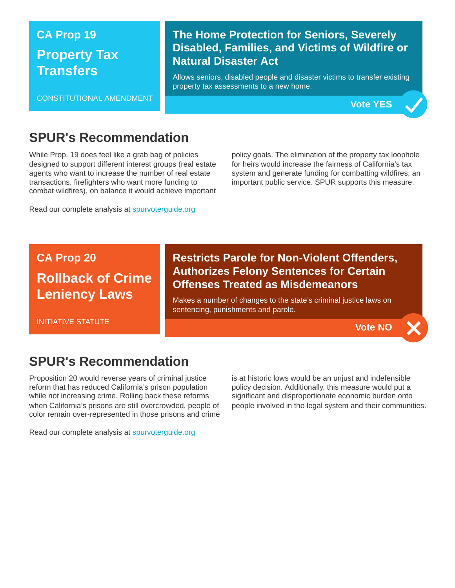## **CA Prop 19 Property Tax Transfers**

CONSTITUTIONAL AMENDMENT

#### **The Home Protection for Seniors, Severely Disabled, Families, and Victims of Wildfire or Natural Disaster Act**

Allows seniors, disabled people and disaster victims to transfer existing property tax assessments to a new home.

**Vote YES**

### **SPUR's Recommendation**

While Prop. 19 does feel like a grab bag of policies designed to support different interest groups (real estate agents who want to increase the number of real estate transactions, firefighters who want more funding to combat wildfires), on balance it would achieve important

Read our complete analysis at [spurvoterguide.org](https://spurvoterguide.org/)

policy goals. The elimination of the property tax loophole for heirs would increase the fairness of California's tax system and generate funding for combatting wildfires, an important public service. SPUR supports this measure.

# **CA Prop 20 Rollback of Crime Leniency Laws**

INITIATIVE STATUTE

#### **Restricts Parole for Non-Violent Offenders, Authorizes Felony Sentences for Certain Offenses Treated as Misdemeanors**

Makes a number of changes to the state's criminal justice laws on sentencing, punishments and parole.

**Vote NO**

### **SPUR's Recommendation**

Proposition 20 would reverse years of criminal justice reform that has reduced California's prison population while not increasing crime. Rolling back these reforms when California's prisons are still overcrowded, people of color remain over-represented in those prisons and crime is at historic lows would be an unjust and indefensible policy decision. Additionally, this measure would put a significant and disproportionate economic burden onto people involved in the legal system and their communities.

Read our complete analysis at [spurvoterguide.org](https://spurvoterguide.org/)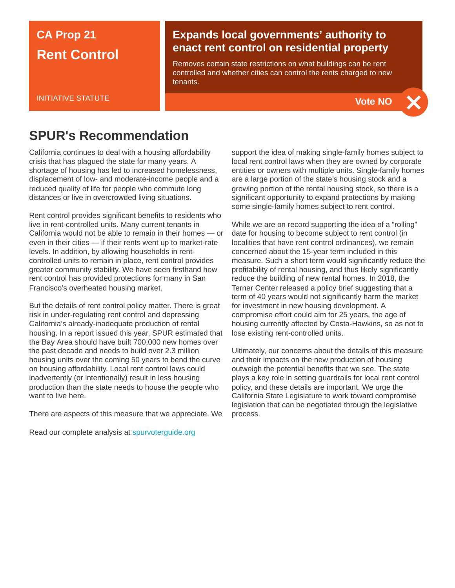### **CA Prop 21 Rent Control**

#### INITIATIVE STATUTE

#### **Expands local governments' authority to enact rent control on residential property**

Removes certain state restrictions on what buildings can be rent controlled and whether cities can control the rents charged to new tenants.



### **SPUR's Recommendation**

California continues to deal with a housing affordability crisis that has plagued the state for many years. A shortage of housing has led to increased homelessness, displacement of low- and moderate-income people and a reduced quality of life for people who commute long distances or live in overcrowded living situations.

Rent control provides significant benefits to residents who live in rent-controlled units. Many current tenants in California would not be able to remain in their homes — or even in their cities — if their rents went up to market-rate levels. In addition, by allowing households in rentcontrolled units to remain in place, rent control provides greater community stability. We have seen firsthand how rent control has provided protections for many in San Francisco's overheated housing market.

But the details of rent control policy matter. There is great risk in under-regulating rent control and depressing California's already-inadequate production of rental housing. In a report issued this year, SPUR estimated that the Bay Area should have built 700,000 new homes over the past decade and needs to build over 2.3 million housing units over the coming 50 years to bend the curve on housing affordability. Local rent control laws could inadvertently (or intentionally) result in less housing production than the state needs to house the people who want to live here.

There are aspects of this measure that we appreciate. We

Read our complete analysis at [spurvoterguide.org](https://spurvoterguide.org/)

support the idea of making single-family homes subject to local rent control laws when they are owned by corporate entities or owners with multiple units. Single-family homes are a large portion of the state's housing stock and a growing portion of the rental housing stock, so there is a significant opportunity to expand protections by making some single-family homes subject to rent control.

While we are on record supporting the idea of a "rolling" date for housing to become subject to rent control (in localities that have rent control ordinances), we remain concerned about the 15-year term included in this measure. Such a short term would significantly reduce the profitability of rental housing, and thus likely significantly reduce the building of new rental homes. In 2018, the Terner Center released a policy brief suggesting that a term of 40 years would not significantly harm the market for investment in new housing development. A compromise effort could aim for 25 years, the age of housing currently affected by Costa-Hawkins, so as not to lose existing rent-controlled units.

Ultimately, our concerns about the details of this measure and their impacts on the new production of housing outweigh the potential benefits that we see. The state plays a key role in setting guardrails for local rent control policy, and these details are important. We urge the California State Legislature to work toward compromise legislation that can be negotiated through the legislative process.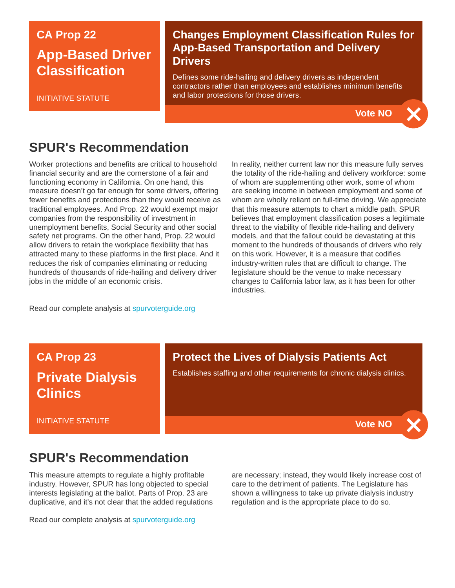### **CA Prop 22 App-Based Driver Classification**

INITIATIVE STATUTE

#### **Changes Employment Classification Rules for App-Based Transportation and Delivery Drivers**

Defines some ride-hailing and delivery drivers as independent contractors rather than employees and establishes minimum benefits and labor protections for those drivers.

**Vote NO**

### **SPUR's Recommendation**

Worker protections and benefits are critical to household financial security and are the cornerstone of a fair and functioning economy in California. On one hand, this measure doesn't go far enough for some drivers, offering fewer benefits and protections than they would receive as traditional employees. And Prop. 22 would exempt major companies from the responsibility of investment in unemployment benefits, Social Security and other social safety net programs. On the other hand, Prop. 22 would allow drivers to retain the workplace flexibility that has attracted many to these platforms in the first place. And it reduces the risk of companies eliminating or reducing hundreds of thousands of ride-hailing and delivery driver jobs in the middle of an economic crisis.

In reality, neither current law nor this measure fully serves the totality of the ride-hailing and delivery workforce: some of whom are supplementing other work, some of whom are seeking income in between employment and some of whom are wholly reliant on full-time driving. We appreciate that this measure attempts to chart a middle path. SPUR believes that employment classification poses a legitimate threat to the viability of flexible ride-hailing and delivery models, and that the fallout could be devastating at this moment to the hundreds of thousands of drivers who rely on this work. However, it is a measure that codifies industry-written rules that are difficult to change. The legislature should be the venue to make necessary changes to California labor law, as it has been for other industries.

Read our complete analysis at [spurvoterguide.org](https://spurvoterguide.org/)

### **CA Prop 23 Private Dialysis Clinics**

INITIATIVE STATUTE

#### **Protect the Lives of Dialysis Patients Act**

Establishes staffing and other requirements for chronic dialysis clinics.

**Vote NO**

### **SPUR's Recommendation**

This measure attempts to regulate a highly profitable industry. However, SPUR has long objected to special interests legislating at the ballot. Parts of Prop. 23 are duplicative, and it's not clear that the added regulations

Read our complete analysis at [spurvoterguide.org](https://spurvoterguide.org/)

are necessary; instead, they would likely increase cost of care to the detriment of patients. The Legislature has shown a willingness to take up private dialysis industry regulation and is the appropriate place to do so.